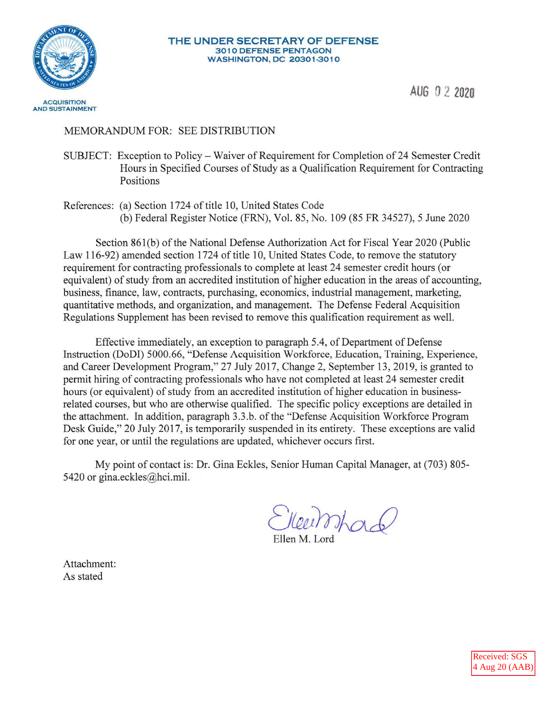

# MEMORANDUM FOR: SEE DISTRIBUTION

- SUBJECT: Exception to Policy Waiver of Requirement for Completion of 24 Semester Credit Hours in Specified Courses of Study as a Qualification Requirement for Contracting Positions
- References: (a) Section 1724 of title 10, United States Code (b) Federal Register Notice (FRN), Vol. 85, No. 109 (85 FR 34527), 5 June 2020

Section 861(b) of the National Defense Authorization Act for Fiscal Year 2020 (Public Law 116-92) amended section 1724 of title 10, United States Code, to remove the statutory requirement for contracting professionals to complete at least 24 semester credit hours ( or equivalent) of study from an accredited institution of higher education in the areas of accounting, business, finance, law, contracts, purchasing, economics, industrial management, marketing, quantitative methods, and organization, and management. The Defense Federal Acquisition Regulations Supplement has been revised to remove this qualification requirement as well.

Effective immediately, an exception to paragraph 5.4, of Department of Defense Instruction (DoDI) 5000.66, "Defense Acquisition Workforce, Education, Training, Experience, and Career Development Program," 27 July 2017, Change 2, September 13, 2019, is granted to permit hiring of contracting professionals who have not completed at least 24 semester credit hours (or equivalent) of study from an accredited institution of higher education in businessrelated courses, but who are otherwise qualified. The specific policy exceptions are detailed in the attachment. In addition, paragraph 3.3.b. of the "Defense Acquisition Workforce Program Desk Guide," 20 July 2017, is temporarily suspended in its entirety. These exceptions are valid for one year, or until the regulations are updated, whichever occurs first.

My point of contact is: Dr. Gina Eckles, Senior Human Capital Manager, at (703) 805 5420 or [gina.eckles@hci.mil](mailto:gina.eckles@hci.mil).

*C)(m}nAa.c{)* 

Ellen M. Lord

Attachment: As stated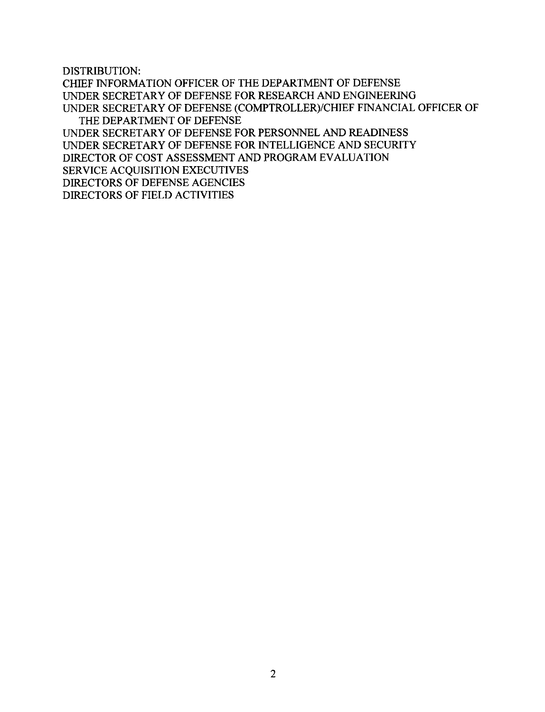DISTRIBUTION:

CHIEF INFORMATION OFFICER OF THE DEPARTMENT OF DEFENSE UNDER SECRETARY OF DEFENSE FOR RESEARCH AND ENGINEERING UNDER SECRETARY OF DEFENSE (COMPTROLLER)/CHIEF FINANCIAL OFFICER OF THE DEPARTMENT OF DEFENSE UNDER SECRETARY OF DEFENSE FOR PERSONNEL AND READINESS UNDER SECRETARY OF DEFENSE FOR INTELLIGENCE AND SECURITY DIRECTOR OF COST ASSESSMENT AND PROGRAM EVALUATION SERVICE ACQUISITION EXECUTIVES DIRECTORS OF DEFENSE AGENCIES DIRECTORS OF FIELD ACTIVITIES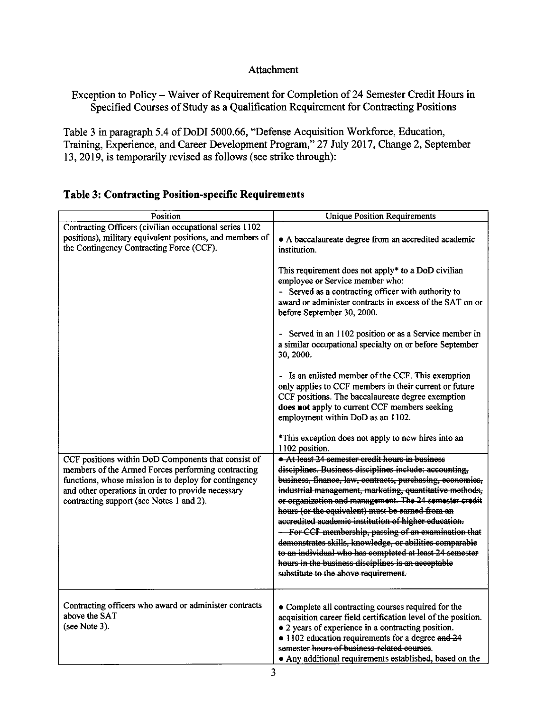## Attachment

Exception to Policy - Waiver of Requirement for Completion of 24 Semester Credit Hours in Specified Courses of Study as a Qualification Requirement for Contracting Positions

Table 3 in paragraph 5.4 of DoDI 5000.66, "Defense Acquisition Workforce, Education, Training, Experience, and Career Development Program," 27 July 2017, Change 2, September 13, 2019, is temporarily revised as follows (see strike through):

| Position                                                                                                                                                                                                                                                             | <b>Unique Position Requirements</b>                                                                                                                                                                                                                                                                                                                                                                                                                                                                                                                                                                                                                                               |  |  |
|----------------------------------------------------------------------------------------------------------------------------------------------------------------------------------------------------------------------------------------------------------------------|-----------------------------------------------------------------------------------------------------------------------------------------------------------------------------------------------------------------------------------------------------------------------------------------------------------------------------------------------------------------------------------------------------------------------------------------------------------------------------------------------------------------------------------------------------------------------------------------------------------------------------------------------------------------------------------|--|--|
| Contracting Officers (civilian occupational series 1102<br>positions), military equivalent positions, and members of<br>the Contingency Contracting Force (CCF).                                                                                                     | • A baccalaureate degree from an accredited academic<br>institution.                                                                                                                                                                                                                                                                                                                                                                                                                                                                                                                                                                                                              |  |  |
|                                                                                                                                                                                                                                                                      | This requirement does not apply* to a DoD civilian<br>employee or Service member who:<br>- Served as a contracting officer with authority to<br>award or administer contracts in excess of the SAT on or<br>before September 30, 2000.                                                                                                                                                                                                                                                                                                                                                                                                                                            |  |  |
|                                                                                                                                                                                                                                                                      | - Served in an 1102 position or as a Service member in<br>a similar occupational specialty on or before September<br>30, 2000.                                                                                                                                                                                                                                                                                                                                                                                                                                                                                                                                                    |  |  |
|                                                                                                                                                                                                                                                                      | - Is an enlisted member of the CCF. This exemption<br>only applies to CCF members in their current or future<br>CCF positions. The baccalaureate degree exemption<br>does not apply to current CCF members seeking<br>employment within DoD as an 1102.                                                                                                                                                                                                                                                                                                                                                                                                                           |  |  |
|                                                                                                                                                                                                                                                                      | *This exception does not apply to new hires into an<br>1102 position.                                                                                                                                                                                                                                                                                                                                                                                                                                                                                                                                                                                                             |  |  |
| CCF positions within DoD Components that consist of<br>members of the Armed Forces performing contracting<br>functions, whose mission is to deploy for contingency<br>and other operations in order to provide necessary<br>contracting support (see Notes 1 and 2). | At least 24 semester credit hours in business<br>disciplines. Business disciplines include: accounting,<br>business, finance, law, contracts, purchasing, economics,<br>industrial management, marketing, quantitative methods,<br>or organization and management. The 24 semester credit<br>hours (or the equivalent) must be earned from an<br>accredited academic institution of higher education.<br>- For CCF membership, passing of an examination that<br>demonstrates skills, knowledge, or abilities comparable<br>to an individual who has completed at least 24 semester<br>hours in the business disciplines is an acceptable<br>substitute to the above requirement. |  |  |
| Contracting officers who award or administer contracts<br>above the SAT<br>(see Note 3).                                                                                                                                                                             | • Complete all contracting courses required for the<br>acquisition career field certification level of the position.<br>• 2 years of experience in a contracting position.<br>• 1102 education requirements for a degree and 24<br>semester hours of business-related courses.<br>• Any additional requirements established, based on the                                                                                                                                                                                                                                                                                                                                         |  |  |

# **Table 3: Contracting Position-specific Requirements**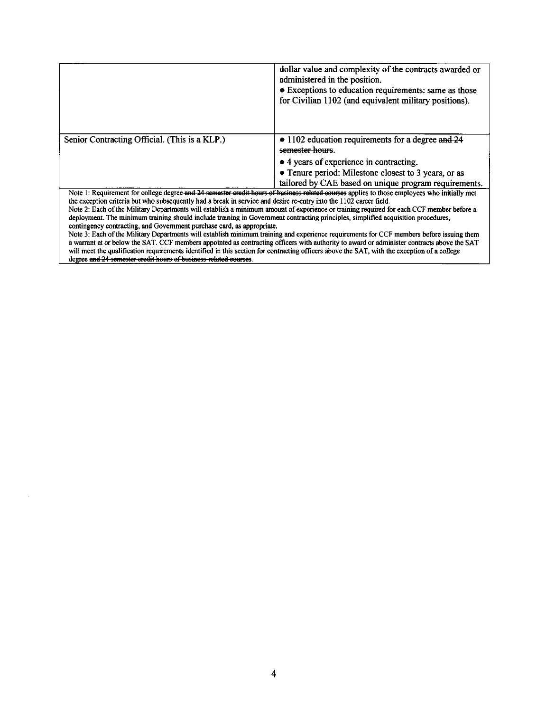|                                                                                                                                                                                                                                                                                        | dollar value and complexity of the contracts awarded or<br>administered in the position.<br>• Exceptions to education requirements: same as those<br>for Civilian 1102 (and equivalent military positions). |  |  |  |
|----------------------------------------------------------------------------------------------------------------------------------------------------------------------------------------------------------------------------------------------------------------------------------------|-------------------------------------------------------------------------------------------------------------------------------------------------------------------------------------------------------------|--|--|--|
| Senior Contracting Official. (This is a KLP.)                                                                                                                                                                                                                                          | • 1102 education requirements for a degree and 24<br>semester hours.                                                                                                                                        |  |  |  |
|                                                                                                                                                                                                                                                                                        | • 4 years of experience in contracting.                                                                                                                                                                     |  |  |  |
|                                                                                                                                                                                                                                                                                        | • Tenure period: Milestone closest to 3 years, or as                                                                                                                                                        |  |  |  |
|                                                                                                                                                                                                                                                                                        | tailored by CAE based on unique program requirements.                                                                                                                                                       |  |  |  |
| the exception criteria but who subsequently had a break in service and desire re-entry into the 1102 career field.                                                                                                                                                                     | Note 1: Requirement for college degree and 24 semester credit hours of business related courses applies to those employees who initially met                                                                |  |  |  |
|                                                                                                                                                                                                                                                                                        | Note 2: Each of the Military Departments will establish a minimum amount of experience or training required for each CCF member before a                                                                    |  |  |  |
| deployment. The minimum training should include training in Government contracting principles, simplified acquisition procedures,                                                                                                                                                      |                                                                                                                                                                                                             |  |  |  |
| contingency contracting, and Government purchase card, as appropriate.                                                                                                                                                                                                                 |                                                                                                                                                                                                             |  |  |  |
| Note 3: Each of the Military Departments will establish minimum training and experience requirements for CCF members before issuing them<br>a warrant at or below the SAT. CCF members appointed as contracting officers with authority to award or administer contracts above the SAT |                                                                                                                                                                                                             |  |  |  |
| will meet the qualification requirements identified in this section for contracting officers above the SAT, with the exception of a college                                                                                                                                            |                                                                                                                                                                                                             |  |  |  |
| degree and 24 semester credit hours of business-related courses.                                                                                                                                                                                                                       |                                                                                                                                                                                                             |  |  |  |

 $\epsilon$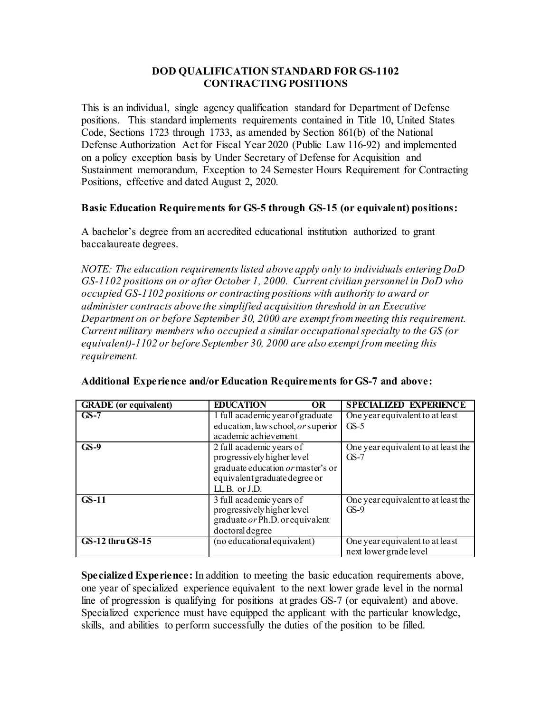### **DOD QUALIFICATION STANDARD FOR GS-1102 CONTRACTING POSITIONS**

 This is an individual, single agency qualification standard for Department of Defense positions. This standard implements requirements contained in Title 10, United States Defense Authorization Act for Fiscal Year 2020 (Public Law 116-92) and implemented Positions, effective and dated August 2, 2020. Code, Sections 1723 through 1733, as amended by Section 861(b) of the National on a policy exception basis by Under Secretary of Defense for Acquisition and Sustainment memorandum, Exception to 24 Semester Hours Requirement for Contracting

### **Basic Education Requirements for GS-5 through GS-15 (or equivalent) positions:**

A bachelor's degree from an accredited educational institution authorized to grant baccalaureate degrees.

Department on or before September 30, 2000 are exempt from meeting this requirement.  *Department on or before September 30, 2000 are exempt from meeting this requirement. Current military members who occupied a similar occupational specialty to the GS (or NOTE: The education requirements listed above apply only to individuals entering DoD GS-1102 positions on or after October 1, 2000. Current civilian personnel in DoD who occupied GS-1102 positions or contracting positions with authority to award or administer contracts above the simplified acquisition threshold in an Executive equivalent)-1102 or before September 30, 2000 are also exempt from meeting this requirement.* 

| <b>GRADE</b> (or equivalent) | <b>EDUCATION</b><br>OR                                                                                                                        | <b>SPECIALIZED EXPERIENCE</b>                             |
|------------------------------|-----------------------------------------------------------------------------------------------------------------------------------------------|-----------------------------------------------------------|
| $GS-7$                       | 1 full academic year of graduate<br>education, law school, or superior                                                                        | One year equivalent to at least<br>$GS-5$                 |
|                              | academic achievement                                                                                                                          |                                                           |
| $GS-9$                       | 2 full academic years of<br>progressively higher level<br>graduate education or master's or<br>equivalent graduate degree or<br>LL.B. or J.D. | One year equivalent to at least the<br>$GS-7$             |
| $GS-11$                      | 3 full academic years of<br>progressively higher level<br>graduate $or Ph.D.$ or equivalent<br>doctoral degree                                | One year equivalent to at least the<br>$GS-9$             |
| <b>GS-12 thru GS-15</b>      | (no educational equivalent)                                                                                                                   | One year equivalent to at least<br>next lower grade level |

|  |  | Additional Experience and/or Education Requirements for GS-7 and above: |  |  |  |
|--|--|-------------------------------------------------------------------------|--|--|--|
|--|--|-------------------------------------------------------------------------|--|--|--|

 **Specialized Experience:** In addition to meeting the basic education requirements above, one year of specialized experience equivalent to the next lower grade level in the normal line of progression is qualifying for positions at grades GS-7 (or equivalent) and above. Specialized experience must have equipped the applicant with the particular knowledge, skills, and abilities to perform successfully the duties of the position to be filled.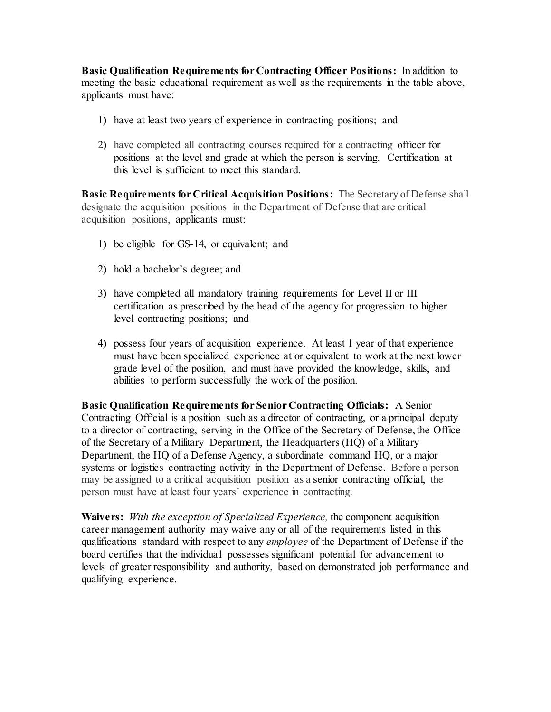**Basic Qualification Requirements for Contracting Officer Positions:** In addition to meeting the basic educational requirement as well as the requirements in the table above, applicants must have:

- 1) have at least two years of experience in contracting positions; and
- 2) have completed all contracting courses required for a contracting officer for positions at the level and grade at which the person is serving. Certification at this level is sufficient to meet this standard.

 **Basic Requirements for Critical Acquisition Positions:** The Secretary of Defense shall designate the acquisition positions in the Department of Defense that are critical acquisition positions, applicants must:

- 1) be eligible for GS-14, or equivalent; and
- 2) hold a bachelor's degree; and
- level contracting positions; and 3) have completed all mandatory training requirements for Level II or III certification as prescribed by the head of the agency for progression to higher
- grade level of the position, and must have provided the knowledge, skills, and abilities to perform successfully the work of the position. 4) possess four years of acquisition experience. At least 1 year of that experience must have been specialized experience at or equivalent to work at the next lower

 **Basic Qualification Requirements for Senior Contracting Officials:** A Senior Contracting Official is a position such as a director of contracting, or a principal deputy to a director of contracting, serving in the Office of the Secretary of Defense, the Office Department, the HQ of a Defense Agency, a subordinate command HQ, or a major systems or logistics contracting activity in the Department of Defense. Before a person person must have at least four years' experience in contracting. of the Secretary of a Military Department, the Headquarters (HQ) of a Military may be assigned to a critical acquisition position as a senior contracting official, the

 **Waivers:** *With the exception of Specialized Experience,* the component acquisition career management authority may waive any or all of the requirements listed in this board certifies that the individual possesses significant potential for advancement to levels of greater responsibility and authority, based on demonstrated job performance and qualifying experience. qualifications standard with respect to any *employee* of the Department of Defense if the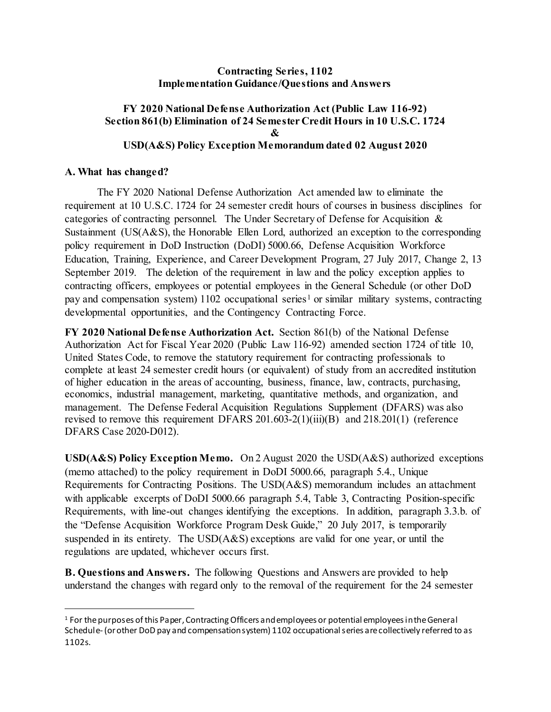#### **Contracting Series, 1102 Implementation Guidance/Questions and Answers**

### **FY 2020 National Defense Authorization Act (Public Law 116-92) Section 861(b) Elimination of 24 Semester Credit Hours in 10 U.S.C. 1724 & USD(A&S) Policy Exception Memorandum dated 02 August 2020**

#### **A. What has changed?**

 $\overline{a}$ 

 requirement at 10 U.S.C. 1724 for 24 semester credit hours of courses in business disciplines for categories of contracting personnel. The Under Secretary of Defense for Acquisition & Sustainment (US(A&S), the Honorable Ellen Lord, authorized an exception to the corresponding September 2019. The deletion of the requirement in law and the policy exception applies to contracting officers, employees or potential employees in the General Schedule (or other DoD The FY 2020 National Defense Authorization Act amended law to eliminate the policy requirement in DoD Instruction (DoDI) 5000.66, Defense Acquisition Workforce Education, Training, Experience, and Career Development Program, 27 July 2017, Change 2, 13 pay and compensation system)  $1102$  occupational series<sup>1</sup> or similar military systems, contracting developmental opportunities, and the Contingency Contracting Force.

 **FY 2020 National Defense Authorization Act.** Section 861(b) of the National Defense Authorization Act for Fiscal Year 2020 (Public Law 116-92) amended section 1724 of title 10, United States Code, to remove the statutory requirement for contracting professionals to complete at least 24 semester credit hours (or equivalent) of study from an accredited institution of higher education in the areas of accounting, business, finance, law, contracts, purchasing, economics, industrial management, marketing, quantitative methods, and organization, and management. The Defense Federal Acquisition Regulations Supplement (DFARS) was also revised to remove this requirement DFARS 201.603-2(1)(iii)(B) and 218.201(1) (reference DFARS Case 2020-D012).

 **USD(A&S) Policy Exception Memo.** On 2 August 2020 the USD(A&S) authorized exceptions (memo attached) to the policy requirement in DoDI 5000.66, paragraph 5.4., Unique Requirements, with line-out changes identifying the exceptions. In addition, paragraph 3.3.b. of the "Defense Acquisition Workforce Program Desk Guide," 20 July 2017, is temporarily suspended in its entirety. The USD(A&S) exceptions are valid for one year, or until the regulations are updated, whichever occurs first. Requirements for Contracting Positions. The USD(A&S) memorandum includes an attachment with applicable excerpts of DoDI 5000.66 paragraph 5.4, Table 3, Contracting Position-specific

**B. Questions and Answers.** The following Questions and Answers are provided to help understand the changes with regard only to the removal of the requirement for the 24 semester

<span id="page-6-0"></span><sup>&</sup>lt;sup>1</sup> For the purposes of this Paper, Contracting Officers and employees or potential employees in the General Schedule- (or other DoD pay and compensation system) 1102 occupational series are collectively referred to as 1102s.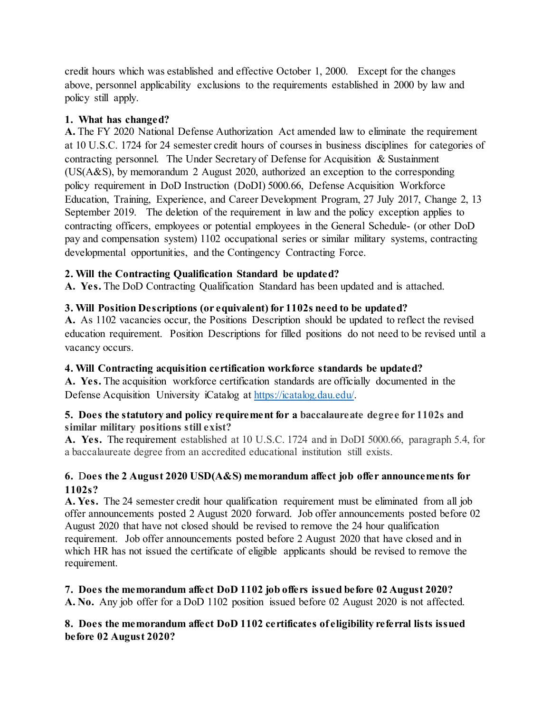above, personnel applicability exclusions to the requirements established in 2000 by law and credit hours which was established and effective October 1, 2000. Except for the changes policy still apply.

## **1. What has changed?**

 **A.** The FY 2020 National Defense Authorization Act amended law to eliminate the requirement at 10 U.S.C. 1724 for 24 semester credit hours of courses in business disciplines for categories of contracting personnel. The Under Secretary of Defense for Acquisition & Sustainment policy requirement in DoD Instruction (DoDI) 5000.66, Defense Acquisition Workforce September 2019. The deletion of the requirement in law and the policy exception applies to contracting officers, employees or potential employees in the General Schedule- (or other DoD pay and compensation system) 1102 occupational series or similar military systems, contracting (US(A&S), by memorandum 2 August 2020, authorized an exception to the corresponding Education, Training, Experience, and Career Development Program, 27 July 2017, Change 2, 13 developmental opportunities, and the Contingency Contracting Force.

# **2. Will the Contracting Qualification Standard be updated?**

 **A. Yes.** The DoD Contracting Qualification Standard has been updated and is attached.

# **3. Will Position Descriptions (or equivalent) for 1102s need to be updated?**

 **A.** As 1102 vacancies occur, the Positions Description should be updated to reflect the revised education requirement. Position Descriptions for filled positions do not need to be revised until a vacancy occurs.

# **4. Will Contracting acquisition certification workforce standards be updated?**

 **A. Yes.** The acquisition workforce certification standards are officially documented in the Defense Acquisition University iCatalog at https://icatalog.dau.edu/.

### **similar military positions still exist? 5. Does the statutory and policy requirement for a baccalaureate degree for 1102s and**

 **A. Yes.** The requirement established at 10 U.S.C. 1724 and in DoDI 5000.66, paragraph 5.4, for a baccalaureate degree from an accredited educational institution still exists.

# **6.** D**oes the 2 August 2020 USD(A&S) memorandum affect job offer announcements for 1102s?**

 **A. Yes.** The 24 semester credit hour qualification requirement must be eliminated from all job requirement. Job offer announcements posted before 2 August 2020 that have closed and in which HR has not issued the certificate of eligible applicants should be revised to remove the offer announcements posted 2 August 2020 forward. Job offer announcements posted before 02 August 2020 that have not closed should be revised to remove the 24 hour qualification requirement.

 **7. Does the memorandum affect DoD 1102 job offers issued before 02 August 2020? A. No.** Any job offer for a DoD 1102 position issued before 02 August 2020 is not affected.

# **8. Does the memorandum affect DoD 1102 certificates of eligibility referral lists issued before 02 August 2020?**